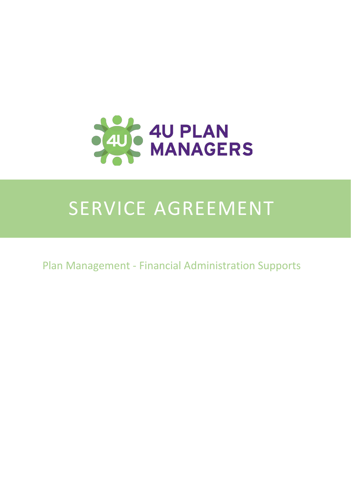

## SERVICE AGREEMENT

Plan Management - Financial Administration Supports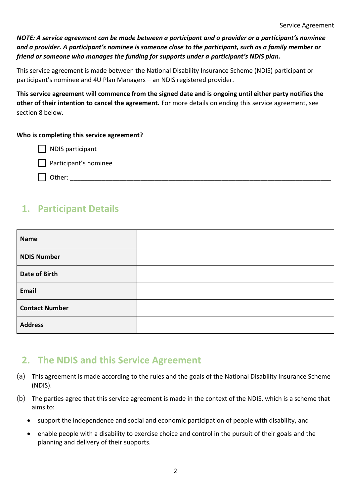*NOTE: A service agreement can be made between a participant and a provider or a participant͛Ɛnominee and a provider. A participant͛Ɛnominee is someone close to the participant, such as a family member or friend or someone who manages the funding for supports under a participant's NDIS plan.* 

This service agreement is made between the National Disability Insurance Scheme (NDIS) participant or participant's nominee and 4U Plan Managers – an NDIS registered provider.

**This service agreement will commence from the signed date and is ongoing until either party notifies the other of their intention to cancel the agreement.** For more details on ending this service agreement, see section 8 below.

#### **Who is completing this service agreement?**

| NDIS participant

 $\Box$  Participant's nominee

 $\Box$  Other:

## **1. Participant Details**

| <b>Name</b>           |  |
|-----------------------|--|
| <b>NDIS Number</b>    |  |
| <b>Date of Birth</b>  |  |
| Email                 |  |
| <b>Contact Number</b> |  |
| <b>Address</b>        |  |

#### **2. The NDIS and this Service Agreement**

- (a) This agreement is made according to the rules and the goals of the National Disability Insurance Scheme (NDIS).
- (b) The parties agree that this service agreement is made in the context of the NDIS, which is a scheme that aims to:
	- support the independence and social and economic participation of people with disability, and
	- enable people with a disability to exercise choice and control in the pursuit of their goals and the planning and delivery of their supports.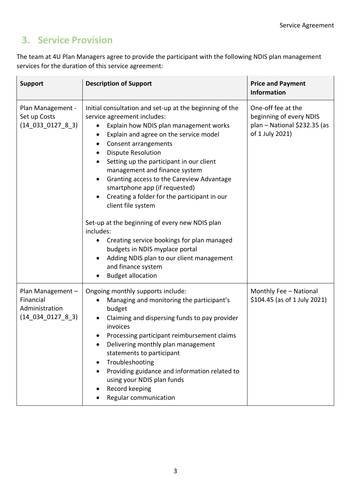## **3. Service Provision**

The team at 4U Plan Managers agree to provide the participant with the following NDIS plan management services for the duration of this service agreement:

| <b>Support</b>                                                              | <b>Description of Support</b>                                                                                                                                                                                                                                                                                                                                                                                                                                                                                                                                                                                                                                                                                       | <b>Price and Payment</b><br><b>Information</b>                                                   |
|-----------------------------------------------------------------------------|---------------------------------------------------------------------------------------------------------------------------------------------------------------------------------------------------------------------------------------------------------------------------------------------------------------------------------------------------------------------------------------------------------------------------------------------------------------------------------------------------------------------------------------------------------------------------------------------------------------------------------------------------------------------------------------------------------------------|--------------------------------------------------------------------------------------------------|
| Plan Management -<br>Set up Costs<br>$(14 \ 033 \ 0127 \ 8 \ 3)$            | Initial consultation and set-up at the beginning of the<br>service agreement includes:<br>Explain how NDIS plan management works<br>Explain and agree on the service model<br>٠<br>Consent arrangements<br><b>Dispute Resolution</b><br>Setting up the participant in our client<br>management and finance system<br>Granting access to the Careview Advantage<br>smartphone app (if requested)<br>Creating a folder for the participant in our<br>client file system<br>Set-up at the beginning of every new NDIS plan<br>includes:<br>Creating service bookings for plan managed<br>budgets in NDIS myplace portal<br>Adding NDIS plan to our client management<br>and finance system<br><b>Budget allocation</b> | One-off fee at the<br>beginning of every NDIS<br>plan - National \$232.35 (as<br>of 1 July 2021) |
| Plan Management -<br>Financial<br>Administration<br>$(14\_034\_0127\_8\_3)$ | Ongoing monthly supports include:<br>Managing and monitoring the participant's<br>budget<br>Claiming and dispersing funds to pay provider<br>invoices<br>Processing participant reimbursement claims<br>Delivering monthly plan management<br>statements to participant<br>Troubleshooting<br>Providing guidance and information related to<br>using your NDIS plan funds<br>Record keeping<br>Regular communication                                                                                                                                                                                                                                                                                                | Monthly Fee - National<br>\$104.45 (as of 1 July 2021)                                           |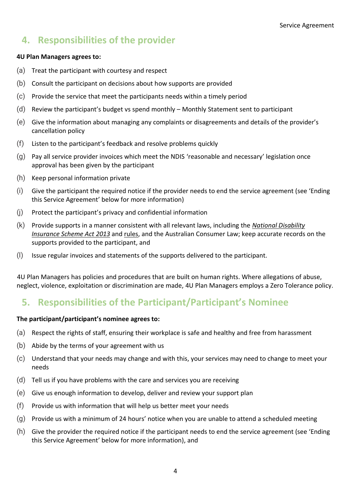## **4. Responsibilities of the provider**

#### **4U Plan Managers agrees to:**

- (a) Treat the participant with courtesy and respect
- (b) Consult the participant on decisions about how supports are provided
- (c) Provide the service that meet the participants needs within a timely period
- (d) Review the participant's budget vs spend monthly  $-$  Monthly Statement sent to participant
- (e) Give the information about managing any complaints or disagreements and details of the provider's cancellation policy
- $(f)$  Listen to the participant's feedback and resolve problems quickly
- $(g)$  Pay all service provider invoices which meet the NDIS 'reasonable and necessary' legislation once approval has been given by the participant
- (h) Keep personal information private
- $(i)$  Give the participant the required notice if the provider needs to end the service agreement (see 'Ending this Service Agreement' below for more information)
- (j) Protect the participant's privacy and confidential information
- (k) Provide supports in a manner consistent with all relevant laws, including the *[National Disability](http://www.comlaw.gov.au/Current/C2013C00388)  [Insurance Scheme Act 2013](http://www.comlaw.gov.au/Current/C2013C00388)* and [rules,](http://www.comlaw.gov.au/Current/C2013A00020/Enables) and the Australian Consumer Law; keep accurate records on the supports provided to the participant, and
- (l) Issue regular invoices and statements of the supports delivered to the participant.

4U Plan Managers has policies and procedures that are built on human rights. Where allegations of abuse, neglect, violence, exploitation or discrimination are made, 4U Plan Managers employs a Zero Tolerance policy.

## **5.** Responsibilities of the Participant/Participant's Nominee

#### **The participant/participant͛Ɛnominee agrees to:**

- (a) Respect the rights of staff, ensuring their workplace is safe and healthy and free from harassment
- (b) Abide by the terms of your agreement with us
- (c) Understand that your needs may change and with this, your services may need to change to meet your needs
- (d) Tell us if you have problems with the care and services you are receiving
- (e) Give us enough information to develop, deliver and review your support plan
- (f) Provide us with information that will help us better meet your needs
- $(g)$  Provide us with a minimum of 24 hours' notice when you are unable to attend a scheduled meeting
- $(h)$  Give the provider the required notice if the participant needs to end the service agreement (see 'Ending this Service Agreement' below for more information), and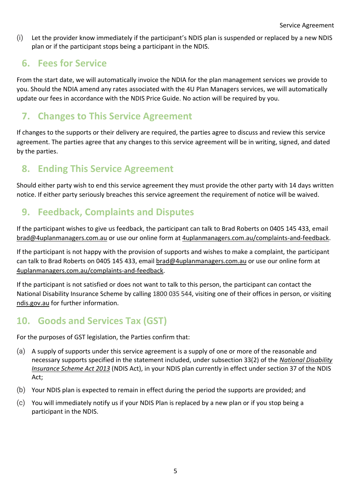(i) Let the provider know immediately if the participant's NDIS plan is suspended or replaced by a new NDIS plan or if the participant stops being a participant in the NDIS.

## **6. Fees for Service**

From the start date, we will automatically invoice the NDIA for the plan management services we provide to you. Should the NDIA amend any rates associated with the 4U Plan Managers services, we will automatically update our fees in accordance with the NDIS Price Guide. No action will be required by you.

## **7. Changes to This Service Agreement**

If changes to the supports or their delivery are required, the parties agree to discuss and review this service agreement. The parties agree that any changes to this service agreement will be in writing, signed, and dated by the parties.

## **8. Ending This Service Agreement**

Should either party wish to end this service agreement they must provide the other party with 14 days written notice. If either party seriously breaches this service agreement the requirement of notice will be waived.

## **9. Feedback, Complaints and Disputes**

If the participant wishes to give us feedback, the participant can talk to Brad Roberts on 0405 145 433, email [brad@4uplanmanagers.com.au](mailto:brad@4uplanmanagers.com.au) or use our online form at [4uplanmanagers.com.au/complaints-and-feedback.](https://www.4uplanmanagers.com.au/complaints-and-feedback)

If the participant is not happy with the provision of supports and wishes to make a complaint, the participant can talk to Brad Roberts on 0405 145 433, email [brad@4uplanmanagers.com.au](mailto:brad@4uplanmanagers.com.au) or use our online form at [4uplanmanagers.com.au/complaints-and-feedback.](https://www.4uplanmanagers.com.au/complaints-and-feedback)

If the participant is not satisfied or does not want to talk to this person, the participant can contact the National Disability Insurance Scheme by calling 1800 035 544, visiting one of their offices in person, or visiting [ndis.gov.au](http://www.ndis.gov.au/) for further information.

## **10. Goods and Services Tax (GST)**

For the purposes of GST legislation, the Parties confirm that:

- (a) A supply of supports under this service agreement is a supply of one or more of the reasonable and necessary supports specified in the statement included, under subsection 33(2) of the *[National Disability](http://www.comlaw.gov.au/Current/C2014C00149)  [Insurance Scheme Act 2013](http://www.comlaw.gov.au/Current/C2014C00149)* (NDIS Act), in your NDIS plan currently in effect under section 37 of the NDIS Act;
- (b) Your NDIS plan is expected to remain in effect during the period the supports are provided; and
- (c) You will immediately notify us if your NDIS Plan is replaced by a new plan or if you stop being a participant in the NDIS.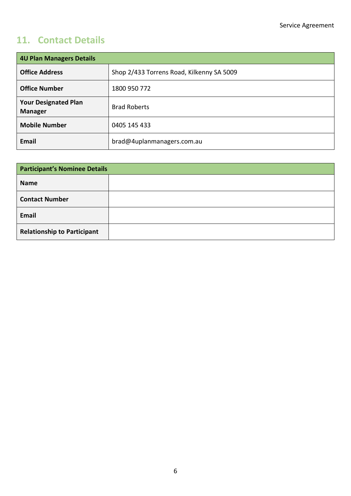## **11. Contact Details**

| <b>4U Plan Managers Details</b>               |                                           |  |
|-----------------------------------------------|-------------------------------------------|--|
| <b>Office Address</b>                         | Shop 2/433 Torrens Road, Kilkenny SA 5009 |  |
| <b>Office Number</b>                          | 1800 950 772                              |  |
| <b>Your Designated Plan</b><br><b>Manager</b> | <b>Brad Roberts</b>                       |  |
| <b>Mobile Number</b>                          | 0405 145 433                              |  |
| Email                                         | brad@4uplanmanagers.com.au                |  |

| <b>Participant's Nominee Details</b> |  |  |
|--------------------------------------|--|--|
| <b>Name</b>                          |  |  |
| <b>Contact Number</b>                |  |  |
| Email                                |  |  |
| <b>Relationship to Participant</b>   |  |  |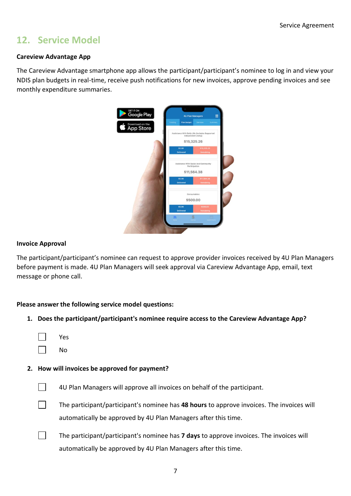## **12. Service Model**

#### **Careview Advantage App**

The Careview Advantage smartphone app allows the participant/participant's nominee to log in and view your NDIS plan budgets in real-time, receive push notifications for new invoices, approve pending invoices and see monthly expenditure summaries.



#### **Invoice Approval**

The participant/participant's nominee can request to approve provider invoices received by 4U Plan Managers before payment is made. 4U Plan Managers will seek approval via Careview Advantage App, email, text message or phone call.

#### **Please answer the following service model questions:**

**1. Does the participant/participant's nominee require access to the Careview Advantage App?**

|--|--|

 $\Box$ No

#### **2. How will invoices be approved for payment?**



4U Plan Managers will approve all invoices on behalf of the participant.



The participant/participant's nominee has **48 hours** to approve invoices. The invoices will automatically be approved by 4U Plan Managers after this time.

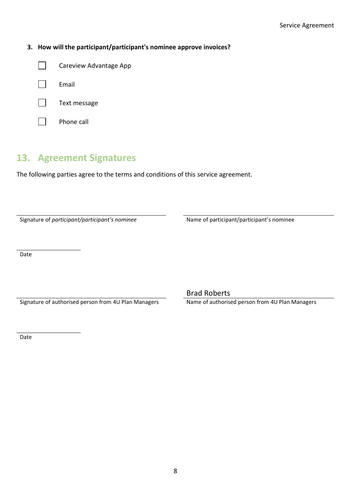#### **3. How will the participant/participant's nominee approve invoices?**

| $\mathbf{L}$ | Careview Advantage App |
|--------------|------------------------|
| $\mathbf{L}$ | Email                  |



Phone call

## **13. Agreement Signatures**

The following parties agree to the terms and conditions of this service agreement.

Signature of *participant/participant's nominee* Name of participant/participant's nominee

Date

Signature of authorised person from 4U Plan Managers Name of authorised person from 4U Plan Managers

Brad Roberts

Date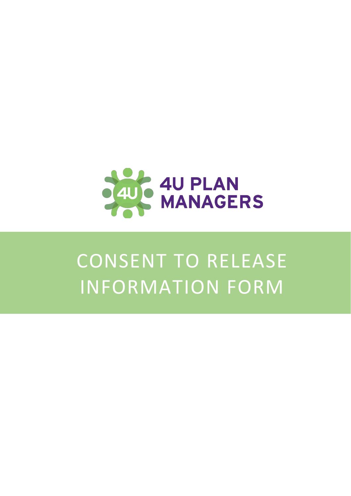

# CONSENT TO RELEASE INFORMATION FORM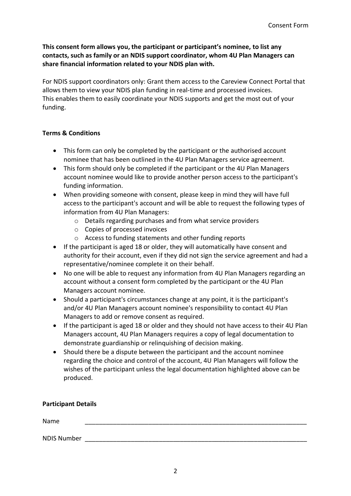This consent form allows you, the participant or participant's nominee, to list any **contacts, such as family or an NDIS support coordinator, whom 4U Plan Managers can share financial information related to your NDIS plan with.**

For NDIS support coordinators only: Grant them access to the Careview Connect Portal that allows them to view your NDIS plan funding in real-time and processed invoices. This enables them to easily coordinate your NDIS supports and get the most out of your funding.

#### **Terms & Conditions**

- This form can only be completed by the participant or the authorised account nominee that has been outlined in the 4U Plan Managers service agreement.
- This form should only be completed if the participant or the 4U Plan Managers account nominee would like to provide another person access to the participant's funding information.
- When providing someone with consent, please keep in mind they will have full access to the participant's account and will be able to request the following types of information from 4U Plan Managers:
	- o Details regarding purchases and from what service providers
	- o Copies of processed invoices
	- o Access to funding statements and other funding reports
- If the participant is aged 18 or older, they will automatically have consent and authority for their account, even if they did not sign the service agreement and had a representative/nominee complete it on their behalf.
- No one will be able to request any information from 4U Plan Managers regarding an account without a consent form completed by the participant or the 4U Plan Managers account nominee.
- Should a participant's circumstances change at any point, it is the participant's and/or 4U Plan Managers account nominee's responsibility to contact 4U Plan Managers to add or remove consent as required.
- If the participant is aged 18 or older and they should not have access to their 4U Plan Managers account, 4U Plan Managers requires a copy of legal documentation to demonstrate guardianship or relinquishing of decision making.
- Should there be a dispute between the participant and the account nominee regarding the choice and control of the account, 4U Plan Managers will follow the wishes of the participant unless the legal documentation highlighted above can be produced.

#### **Participant Details**

| Name               |  |
|--------------------|--|
| <b>NDIS Number</b> |  |
|                    |  |